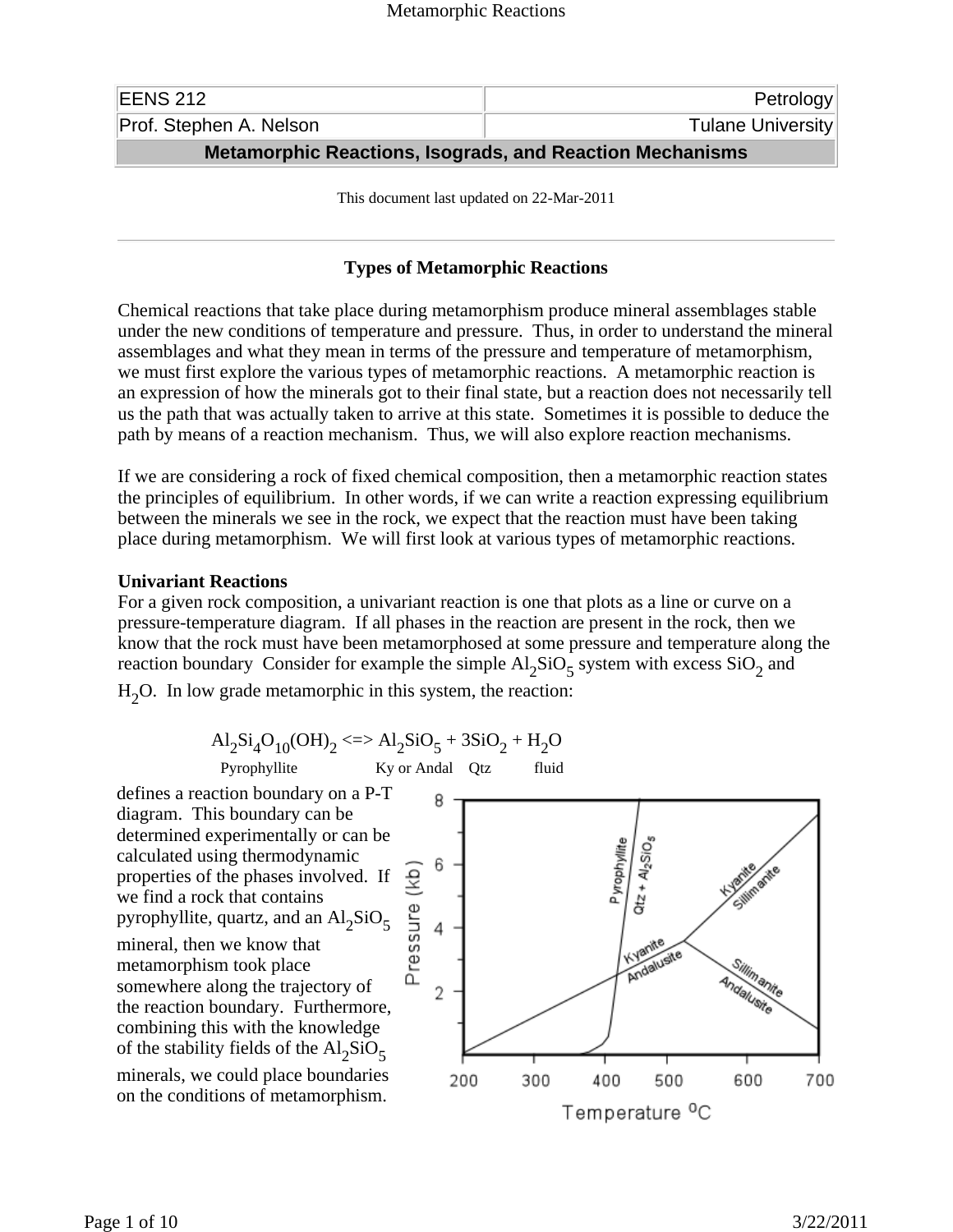| <b>Metamorphic Reactions, Isograds, and Reaction Mechanisms</b> |                          |
|-----------------------------------------------------------------|--------------------------|
| Prof. Stephen A. Nelson                                         | <b>Tulane University</b> |
| EENS 212                                                        | Petrology                |

This document last updated on 22-Mar-2011

## **Types of Metamorphic Reactions**

Chemical reactions that take place during metamorphism produce mineral assemblages stable under the new conditions of temperature and pressure. Thus, in order to understand the mineral assemblages and what they mean in terms of the pressure and temperature of metamorphism, we must first explore the various types of metamorphic reactions. A metamorphic reaction is an expression of how the minerals got to their final state, but a reaction does not necessarily tell us the path that was actually taken to arrive at this state. Sometimes it is possible to deduce the path by means of a reaction mechanism. Thus, we will also explore reaction mechanisms.

If we are considering a rock of fixed chemical composition, then a metamorphic reaction states the principles of equilibrium. In other words, if we can write a reaction expressing equilibrium between the minerals we see in the rock, we expect that the reaction must have been taking place during metamorphism. We will first look at various types of metamorphic reactions.

## **Univariant Reactions**

For a given rock composition, a univariant reaction is one that plots as a line or curve on a pressure-temperature diagram. If all phases in the reaction are present in the rock, then we know that the rock must have been metamorphosed at some pressure and temperature along the reaction boundary Consider for example the simple  $Al_2SiO_5$  system with excess  $SiO_2$  and

 $H<sub>2</sub>O$ . In low grade metamorphic in this system, the reaction:

$$
Al_2Si_4O_{10}(OH)_2 \leq~ Al_2SiO_5 + 3SiO_2 + H_2O
$$
  
Pyrophylite  
Ky or Andal Qtz fluid

defines a reaction boundary on a P-T diagram. This boundary can be determined experimentally or can be calculated using thermodynamic properties of the phases involved. If we find a rock that contains pyrophyllite, quartz, and an  $\text{Al}_2\text{SiO}_5$ mineral, then we know that metamorphism took place somewhere along the trajectory of the reaction boundary. Furthermore, combining this with the knowledge of the stability fields of the  $Al_2SiO_5$ minerals, we could place boundaries on the conditions of metamorphism.

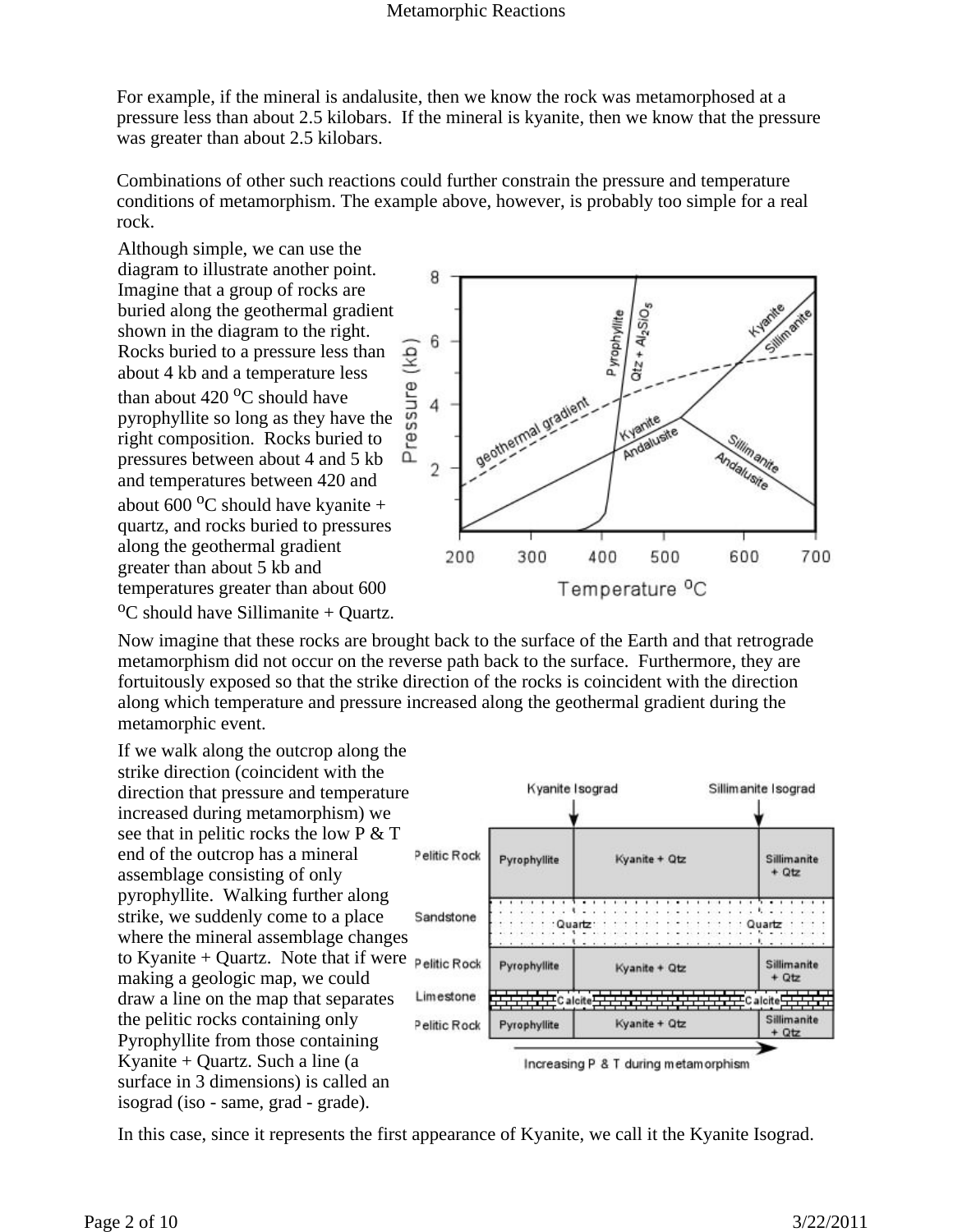For example, if the mineral is andalusite, then we know the rock was metamorphosed at a pressure less than about 2.5 kilobars. If the mineral is kyanite, then we know that the pressure was greater than about 2.5 kilobars.

Combinations of other such reactions could further constrain the pressure and temperature conditions of metamorphism. The example above, however, is probably too simple for a real rock.

Although simple, we can use the diagram to illustrate another point. Imagine that a group of rocks are buried along the geothermal gradient shown in the diagram to the right. Rocks buried to a pressure less than about 4 kb and a temperature less than about  $420\degree$ C should have pyrophyllite so long as they have the right composition. Rocks buried to pressures between about 4 and 5 kb and temperatures between 420 and about 600  $^{\circ}$ C should have kyanite + quartz, and rocks buried to pressures along the geothermal gradient greater than about 5 kb and temperatures greater than about 600  $\rm{^{0}C}$  should have Sillimanite + Quartz.



Now imagine that these rocks are brought back to the surface of the Earth and that retrograde metamorphism did not occur on the reverse path back to the surface. Furthermore, they are fortuitously exposed so that the strike direction of the rocks is coincident with the direction along which temperature and pressure increased along the geothermal gradient during the metamorphic event.

If we walk along the outcrop along the strike direction (coincident with the direction that pressure and temperature increased during metamorphism) we see that in pelitic rocks the low P & T end of the outcrop has a mineral assemblage consisting of only pyrophyllite. Walking further along strike, we suddenly come to a place where the mineral assemblage changes to Kyanite + Quartz. Note that if were  $p$  elitic Rock making a geologic map, we could draw a line on the map that separates the pelitic rocks containing only Pyrophyllite from those containing Kyanite + Quartz. Such a line (a surface in 3 dimensions) is called an isograd (iso - same, grad - grade).



In this case, since it represents the first appearance of Kyanite, we call it the Kyanite Isograd.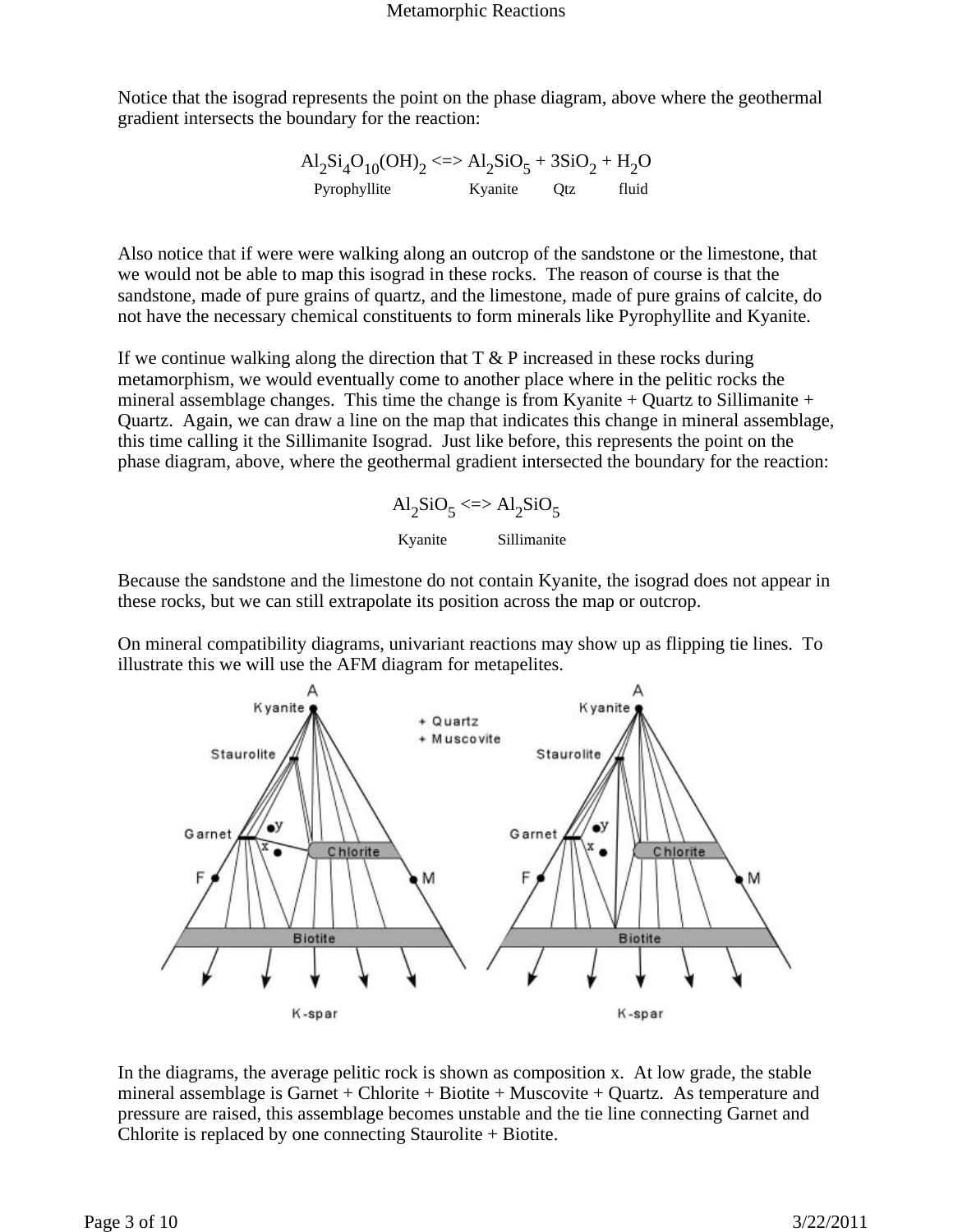Notice that the isograd represents the point on the phase diagram, above where the geothermal gradient intersects the boundary for the reaction:

$$
\begin{array}{cc}\n\text{Al}_2\text{Si}_4\text{O}_{10}(\text{OH})_2 \ll\implies \text{Al}_2\text{SiO}_5 + 3\text{SiO}_2 + \text{H}_2\text{O} \\
\text{Pyrophyllite} & \text{Kyanite} & \text{Qtz} & \text{fluid}\n\end{array}
$$

Also notice that if were were walking along an outcrop of the sandstone or the limestone, that we would not be able to map this isograd in these rocks. The reason of course is that the sandstone, made of pure grains of quartz, and the limestone, made of pure grains of calcite, do not have the necessary chemical constituents to form minerals like Pyrophyllite and Kyanite.

If we continue walking along the direction that  $T \& P$  increased in these rocks during metamorphism, we would eventually come to another place where in the pelitic rocks the mineral assemblage changes. This time the change is from Kyanite + Quartz to Sillimanite + Quartz. Again, we can draw a line on the map that indicates this change in mineral assemblage, this time calling it the Sillimanite Isograd. Just like before, this represents the point on the phase diagram, above, where the geothermal gradient intersected the boundary for the reaction:



Because the sandstone and the limestone do not contain Kyanite, the isograd does not appear in these rocks, but we can still extrapolate its position across the map or outcrop.

On mineral compatibility diagrams, univariant reactions may show up as flipping tie lines. To illustrate this we will use the AFM diagram for metapelites.



In the diagrams, the average pelitic rock is shown as composition x. At low grade, the stable mineral assemblage is Garnet + Chlorite + Biotite + Muscovite + Quartz. As temperature and pressure are raised, this assemblage becomes unstable and the tie line connecting Garnet and Chlorite is replaced by one connecting Staurolite  $+$  Biotite.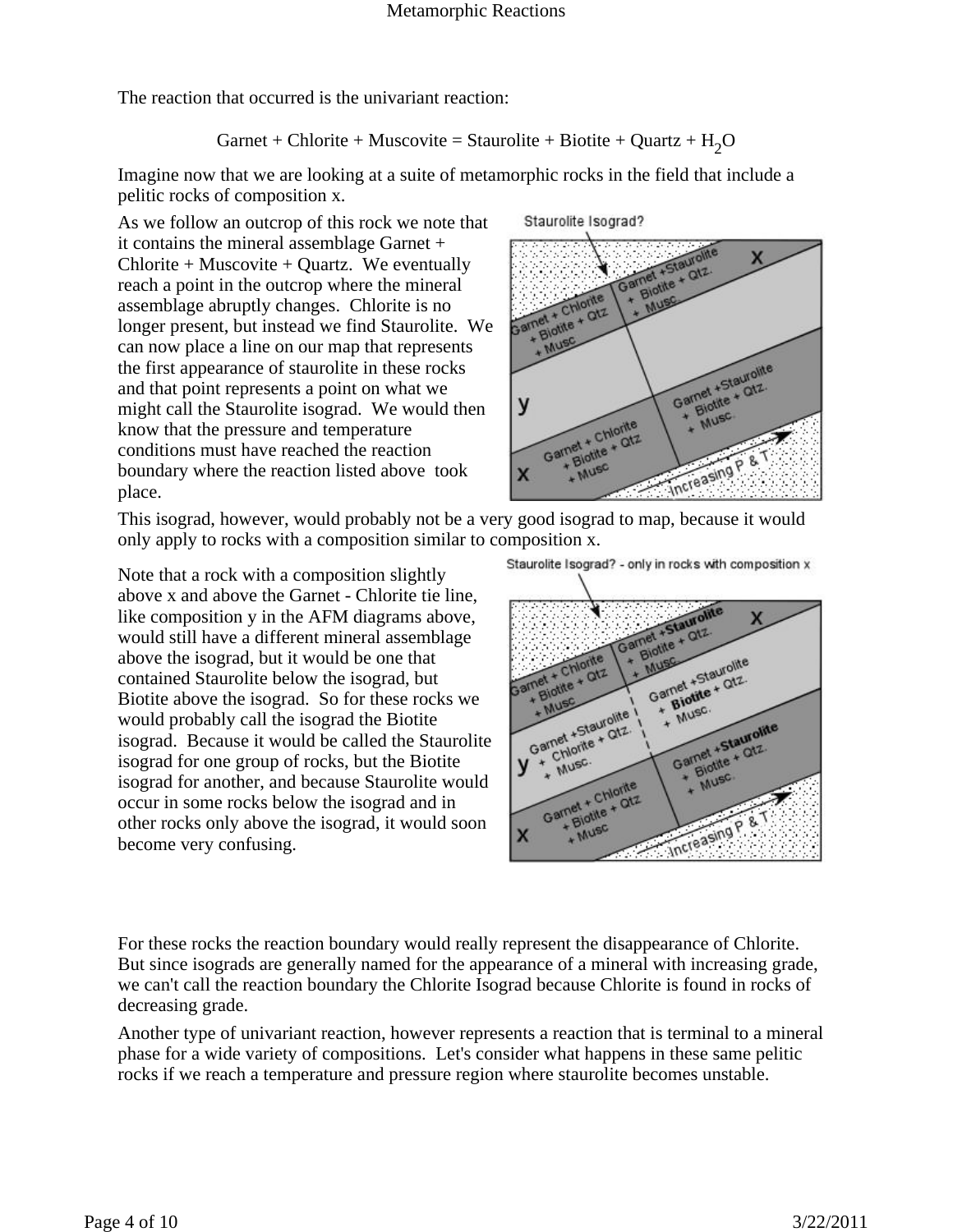The reaction that occurred is the univariant reaction:

$$
Garnet + Chlorite + Musicovite = Staurolite + Biotite + Quartz + H2O
$$

Imagine now that we are looking at a suite of metamorphic rocks in the field that include a pelitic rocks of composition x.

As we follow an outcrop of this rock we note that it contains the mineral assemblage Garnet +  $Chlorite + Museumve$  + Quartz. We eventually reach a point in the outcrop where the mineral assemblage abruptly changes. Chlorite is no longer present, but instead we find Staurolite. We can now place a line on our map that represents the first appearance of staurolite in these rocks and that point represents a point on what we might call the Staurolite isograd. We would then know that the pressure and temperature conditions must have reached the reaction boundary where the reaction listed above took place.

Staurolite Isograd?



This isograd, however, would probably not be a very good isograd to map, because it would only apply to rocks with a composition similar to composition x.

Note that a rock with a composition slightly above x and above the Garnet - Chlorite tie line, like composition y in the AFM diagrams above, would still have a different mineral assemblage above the isograd, but it would be one that contained Staurolite below the isograd, but Biotite above the isograd. So for these rocks we would probably call the isograd the Biotite isograd. Because it would be called the Staurolite isograd for one group of rocks, but the Biotite isograd for another, and because Staurolite would occur in some rocks below the isograd and in other rocks only above the isograd, it would soon become very confusing.

Staurolite Isograd? - only in rocks with composition x



For these rocks the reaction boundary would really represent the disappearance of Chlorite. But since isograds are generally named for the appearance of a mineral with increasing grade, we can't call the reaction boundary the Chlorite Isograd because Chlorite is found in rocks of decreasing grade.

Another type of univariant reaction, however represents a reaction that is terminal to a mineral phase for a wide variety of compositions. Let's consider what happens in these same pelitic rocks if we reach a temperature and pressure region where staurolite becomes unstable.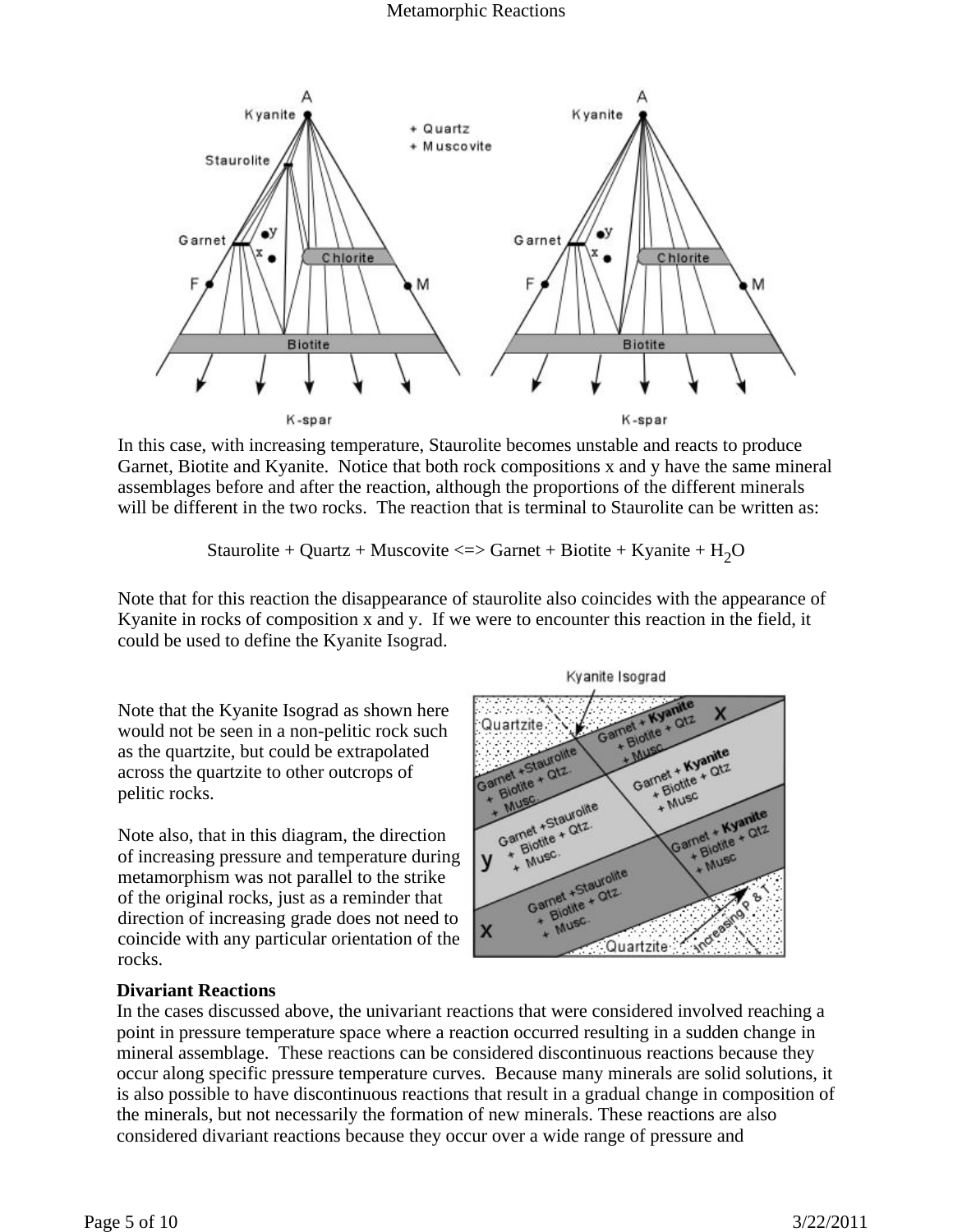

In this case, with increasing temperature, Staurolite becomes unstable and reacts to produce Garnet, Biotite and Kyanite. Notice that both rock compositions x and y have the same mineral assemblages before and after the reaction, although the proportions of the different minerals will be different in the two rocks. The reaction that is terminal to Staurolite can be written as:

Staurolite + Quartz + Muscovite <=> Garnet + Biotite + Kyanite +  $H_2O$ 

Note that for this reaction the disappearance of staurolite also coincides with the appearance of Kyanite in rocks of composition x and y. If we were to encounter this reaction in the field, it could be used to define the Kyanite Isograd.

Note that the Kyanite Isograd as shown here would not be seen in a non-pelitic rock such as the quartzite, but could be extrapolated across the quartzite to other outcrops of pelitic rocks.

Note also, that in this diagram, the direction of increasing pressure and temperature during metamorphism was not parallel to the strike of the original rocks, just as a reminder that direction of increasing grade does not need to coincide with any particular orientation of the rocks.

#### QtZ Quartzite Blotite<sub></sub> Garnet + Kyanite<br>Garnet + Kyanite<br>Garnet + Kyanite +Staurolite The + Kyamatz Flotile + Otz.<br>Blotile + Otz. + Musc Garnet + Staurolite<br>Garnet + Staurolite Garnet + Kyanite<br>Garnet + Kyanite<br>Garnet + Kyanite Flotite + Otz. **Write** MUSC Garnet +Staurolite<br>Garnet +Staurolite Biotite<br>Biotite MUSC X Quartzite

Kyanite Isograd

## **Divariant Reactions**

In the cases discussed above, the univariant reactions that were considered involved reaching a point in pressure temperature space where a reaction occurred resulting in a sudden change in mineral assemblage. These reactions can be considered discontinuous reactions because they occur along specific pressure temperature curves. Because many minerals are solid solutions, it is also possible to have discontinuous reactions that result in a gradual change in composition of the minerals, but not necessarily the formation of new minerals. These reactions are also considered divariant reactions because they occur over a wide range of pressure and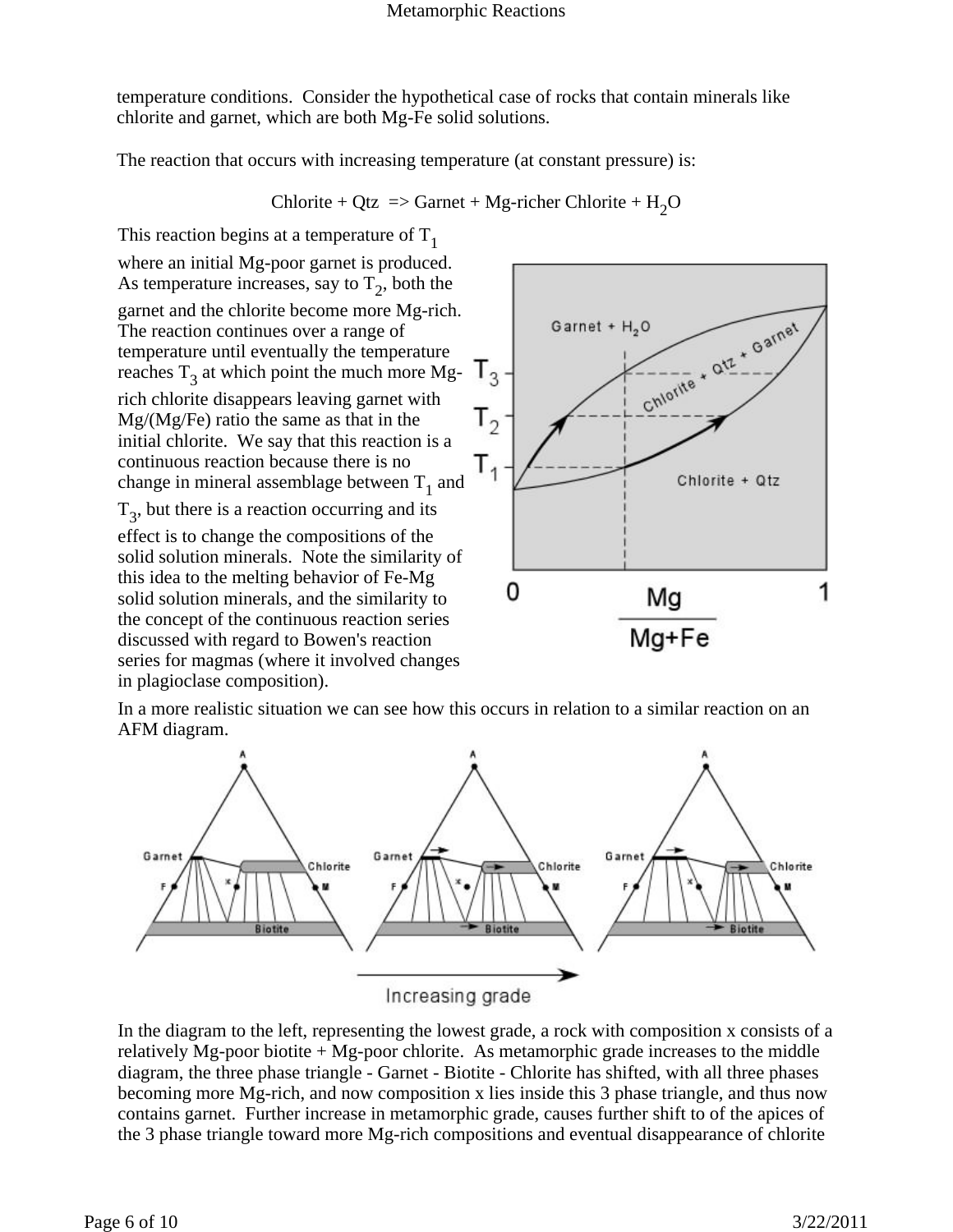temperature conditions. Consider the hypothetical case of rocks that contain minerals like chlorite and garnet, which are both Mg-Fe solid solutions.

The reaction that occurs with increasing temperature (at constant pressure) is:

$$
Chlorite + Qtz \implies Garnet + Mg\text{-richer Chlorite} + H_2O
$$

This reaction begins at a temperature of  $T_1$ where an initial Mg-poor garnet is produced. As temperature increases, say to  $T_2$ , both the garnet and the chlorite become more Mg-rich. The reaction continues over a range of temperature until eventually the temperature reaches  $T_3$  at which point the much more Mgrich chlorite disappears leaving garnet with Mg/(Mg/Fe) ratio the same as that in the initial chlorite. We say that this reaction is a continuous reaction because there is no change in mineral assemblage between  $T_1$  and

 $T_3$ , but there is a reaction occurring and its

effect is to change the compositions of the solid solution minerals. Note the similarity of this idea to the melting behavior of Fe-Mg solid solution minerals, and the similarity to the concept of the continuous reaction series discussed with regard to Bowen's reaction series for magmas (where it involved changes in plagioclase composition).



In a more realistic situation we can see how this occurs in relation to a similar reaction on an AFM diagram.



In the diagram to the left, representing the lowest grade, a rock with composition x consists of a relatively Mg-poor biotite  $+$  Mg-poor chlorite. As metamorphic grade increases to the middle diagram, the three phase triangle - Garnet - Biotite - Chlorite has shifted, with all three phases becoming more Mg-rich, and now composition x lies inside this 3 phase triangle, and thus now contains garnet. Further increase in metamorphic grade, causes further shift to of the apices of the 3 phase triangle toward more Mg-rich compositions and eventual disappearance of chlorite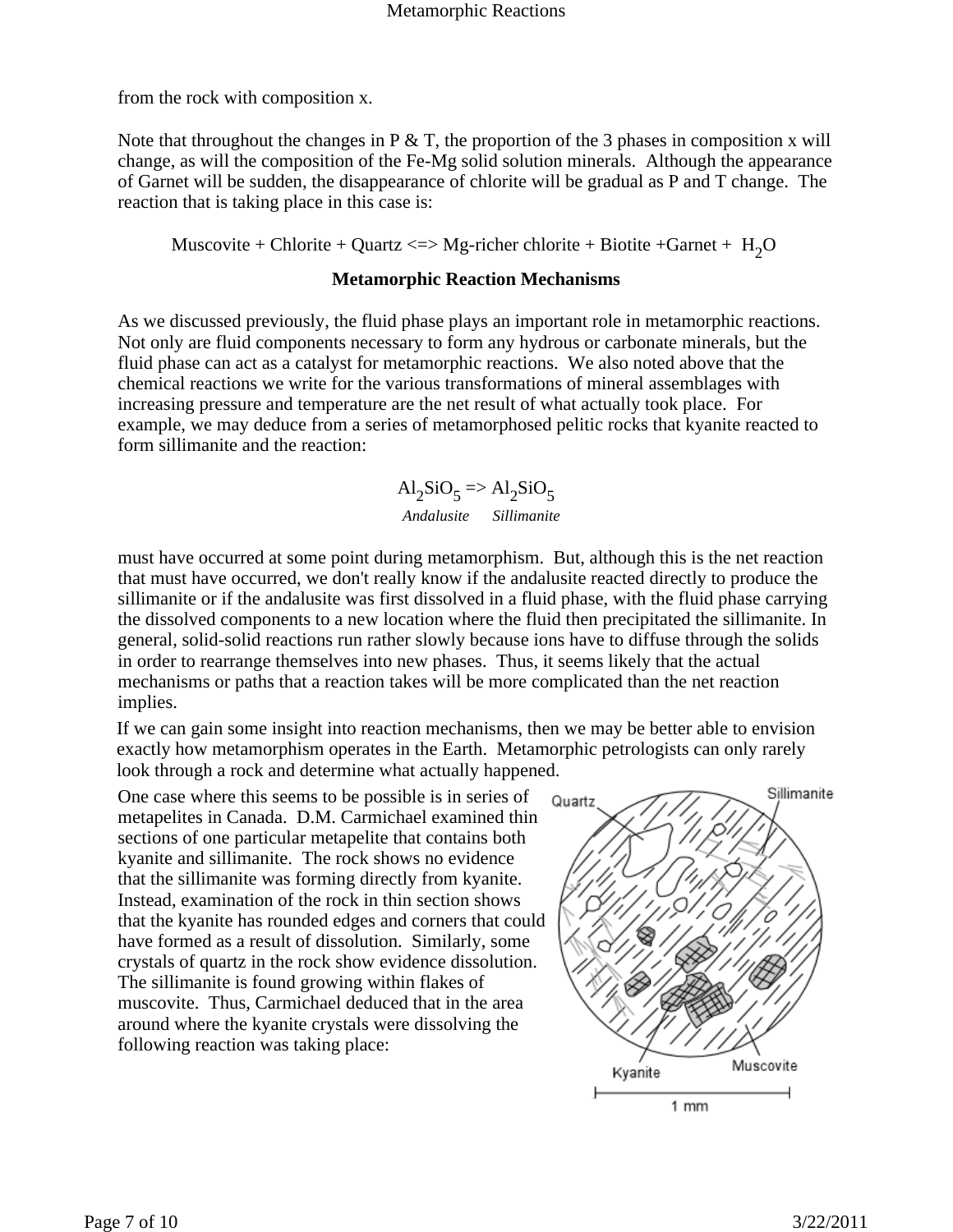from the rock with composition x.

Note that throughout the changes in  $P \& T$ , the proportion of the 3 phases in composition x will change, as will the composition of the Fe-Mg solid solution minerals. Although the appearance of Garnet will be sudden, the disappearance of chlorite will be gradual as P and T change. The reaction that is taking place in this case is:

Muscovite + Chlorite + Quartz  $\ll$  Mg-richer chlorite + Biotite + Garnet + H<sub>2</sub>O

#### **Metamorphic Reaction Mechanisms**

As we discussed previously, the fluid phase plays an important role in metamorphic reactions. Not only are fluid components necessary to form any hydrous or carbonate minerals, but the fluid phase can act as a catalyst for metamorphic reactions. We also noted above that the chemical reactions we write for the various transformations of mineral assemblages with increasing pressure and temperature are the net result of what actually took place. For example, we may deduce from a series of metamorphosed pelitic rocks that kyanite reacted to form sillimanite and the reaction:

> $\mathrm{Al}_2\mathrm{SiO}_5$  =>  $\mathrm{Al}_2\mathrm{SiO}_5$ *Andalusite Sillimanite*

must have occurred at some point during metamorphism. But, although this is the net reaction that must have occurred, we don't really know if the andalusite reacted directly to produce the sillimanite or if the andalusite was first dissolved in a fluid phase, with the fluid phase carrying the dissolved components to a new location where the fluid then precipitated the sillimanite. In general, solid-solid reactions run rather slowly because ions have to diffuse through the solids in order to rearrange themselves into new phases. Thus, it seems likely that the actual mechanisms or paths that a reaction takes will be more complicated than the net reaction implies.

If we can gain some insight into reaction mechanisms, then we may be better able to envision exactly how metamorphism operates in the Earth. Metamorphic petrologists can only rarely look through a rock and determine what actually happened.

One case where this seems to be possible is in series of metapelites in Canada. D.M. Carmichael examined thin sections of one particular metapelite that contains both kyanite and sillimanite. The rock shows no evidence that the sillimanite was forming directly from kyanite. Instead, examination of the rock in thin section shows that the kyanite has rounded edges and corners that could have formed as a result of dissolution. Similarly, some crystals of quartz in the rock show evidence dissolution. The sillimanite is found growing within flakes of muscovite. Thus, Carmichael deduced that in the area around where the kyanite crystals were dissolving the following reaction was taking place:

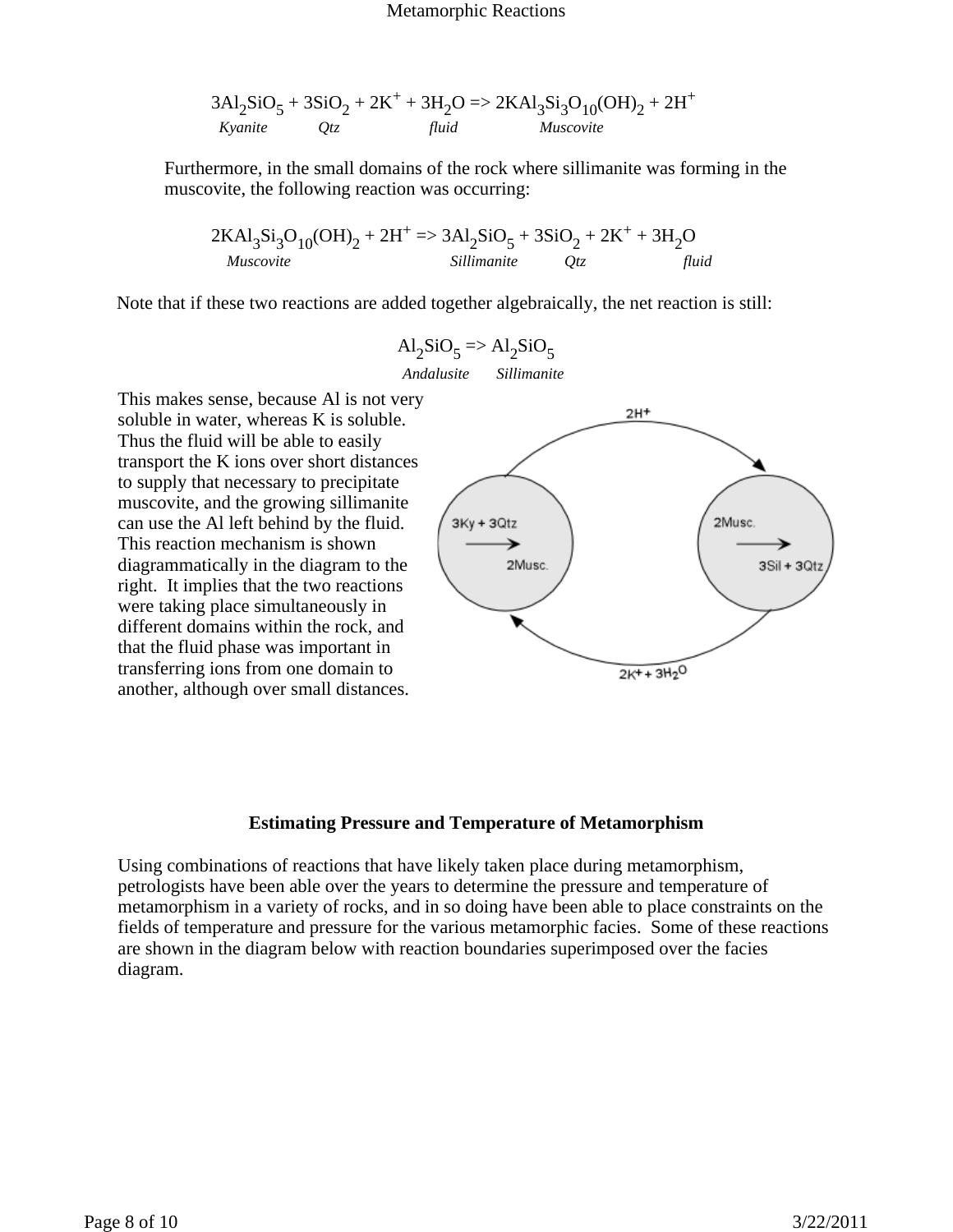$$
3Al_2SiO_5 + 3SiO_2 + 2K^+ + 3H_2O \Rightarrow 2KAl_3Si_3O_{10}(OH)_2 + 2H^+
$$
  
*Kyanite* Qtz  
*fluid* Muscovite

Furthermore, in the small domains of the rock where sillimanite was forming in the muscovite, the following reaction was occurring:

$$
2KAl3Si3O10(OH)2 + 2H+ => 3Al2SiO5 + 3SiO2 + 2K+ + 3H2O\n
$$
Muscovite
$$
 *Sillimanite Qtz fluid*
$$

Note that if these two reactions are added together algebraically, the net reaction is still:

$$
Al_2SiO_5 \Rightarrow Al_2SiO_5
$$

*Andalusite Sillimanite*

This makes sense, because Al is not very soluble in water, whereas K is soluble. Thus the fluid will be able to easily transport the K ions over short distances to supply that necessary to precipitate muscovite, and the growing sillimanite can use the Al left behind by the fluid. This reaction mechanism is shown diagrammatically in the diagram to the right. It implies that the two reactions were taking place simultaneously in different domains within the rock, and that the fluid phase was important in transferring ions from one domain to another, although over small distances.



#### **Estimating Pressure and Temperature of Metamorphism**

Using combinations of reactions that have likely taken place during metamorphism, petrologists have been able over the years to determine the pressure and temperature of metamorphism in a variety of rocks, and in so doing have been able to place constraints on the fields of temperature and pressure for the various metamorphic facies. Some of these reactions are shown in the diagram below with reaction boundaries superimposed over the facies diagram.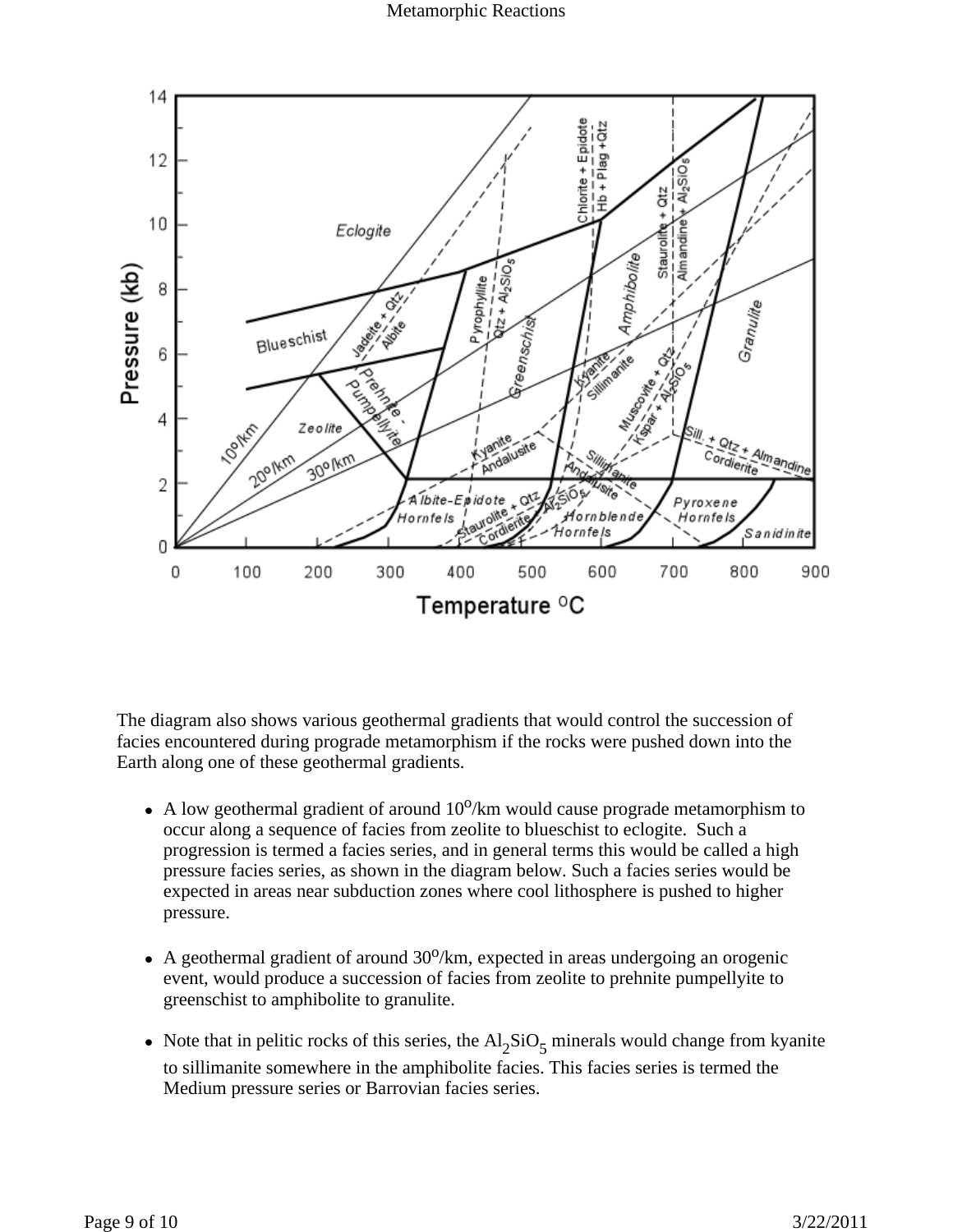Metamorphic Reactions



The diagram also shows various geothermal gradients that would control the succession of facies encountered during prograde metamorphism if the rocks were pushed down into the Earth along one of these geothermal gradients.

- A low geothermal gradient of around  $10^{\circ}/\text{km}$  would cause prograde metamorphism to occur along a sequence of facies from zeolite to blueschist to eclogite. Such a progression is termed a facies series, and in general terms this would be called a high pressure facies series, as shown in the diagram below. Such a facies series would be expected in areas near subduction zones where cool lithosphere is pushed to higher pressure.
- A geothermal gradient of around  $30^{\circ}/\text{km}$ , expected in areas undergoing an orogenic event, would produce a succession of facies from zeolite to prehnite pumpellyite to greenschist to amphibolite to granulite.
- Note that in pelitic rocks of this series, the  $Al_2SiO_5$  minerals would change from kyanite to sillimanite somewhere in the amphibolite facies. This facies series is termed the Medium pressure series or Barrovian facies series.